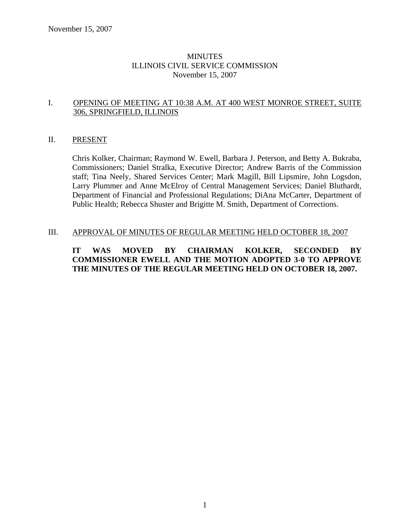## **MINUTES** ILLINOIS CIVIL SERVICE COMMISSION November 15, 2007

#### I. OPENING OF MEETING AT 10:38 A.M. AT 400 WEST MONROE STREET, SUITE 306, SPRINGFIELD, ILLINOIS

#### II. PRESENT

Chris Kolker, Chairman; Raymond W. Ewell, Barbara J. Peterson, and Betty A. Bukraba, Commissioners; Daniel Stralka, Executive Director; Andrew Barris of the Commission staff; Tina Neely, Shared Services Center; Mark Magill, Bill Lipsmire, John Logsdon, Larry Plummer and Anne McElroy of Central Management Services; Daniel Bluthardt, Department of Financial and Professional Regulations; DiAna McCarter, Department of Public Health; Rebecca Shuster and Brigitte M. Smith, Department of Corrections.

#### III. APPROVAL OF MINUTES OF REGULAR MEETING HELD OCTOBER 18, 2007

# **IT WAS MOVED BY CHAIRMAN KOLKER, SECONDED BY COMMISSIONER EWELL AND THE MOTION ADOPTED 3-0 TO APPROVE THE MINUTES OF THE REGULAR MEETING HELD ON OCTOBER 18, 2007.**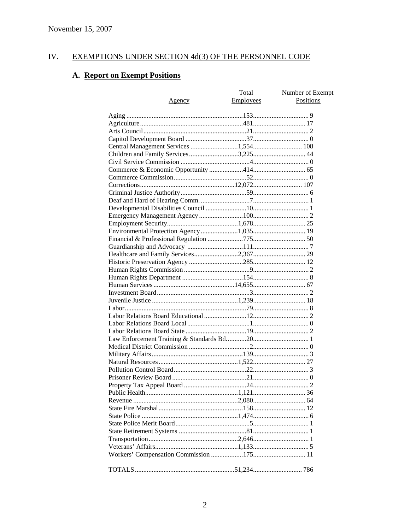#### IV. **EXEMPTIONS UNDER SECTION 4d(3) OF THE PERSONNEL CODE**

# A. Report on Exempt Positions

|                                          | Total     | Number of Exempt |
|------------------------------------------|-----------|------------------|
| <u>Agency</u>                            | Employees | Positions        |
|                                          |           |                  |
|                                          |           |                  |
|                                          |           |                  |
|                                          |           |                  |
|                                          |           |                  |
|                                          |           |                  |
|                                          |           |                  |
|                                          |           |                  |
|                                          |           |                  |
|                                          |           |                  |
|                                          |           |                  |
|                                          |           |                  |
|                                          |           |                  |
|                                          |           |                  |
|                                          |           |                  |
|                                          |           |                  |
| Environmental Protection Agency 1,035 19 |           |                  |
|                                          |           |                  |
|                                          |           |                  |
|                                          |           |                  |
|                                          |           |                  |
|                                          |           |                  |
|                                          |           |                  |
|                                          |           |                  |
|                                          |           |                  |
|                                          |           |                  |
|                                          |           |                  |
|                                          |           |                  |
|                                          |           |                  |
|                                          |           |                  |
|                                          |           |                  |
|                                          |           |                  |
|                                          |           |                  |
|                                          |           |                  |
|                                          |           |                  |
|                                          |           |                  |
|                                          |           |                  |
|                                          |           |                  |
|                                          |           |                  |
|                                          |           |                  |
|                                          |           |                  |
|                                          |           |                  |
|                                          |           |                  |
|                                          |           |                  |
|                                          |           |                  |
|                                          |           |                  |
|                                          |           |                  |
|                                          |           |                  |
|                                          |           |                  |
|                                          |           |                  |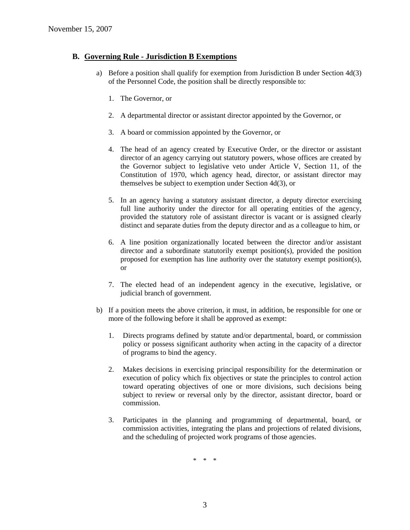### **B. Governing Rule - Jurisdiction B Exemptions**

- a) Before a position shall qualify for exemption from Jurisdiction B under Section 4d(3) of the Personnel Code, the position shall be directly responsible to:
	- 1. The Governor, or
	- 2. A departmental director or assistant director appointed by the Governor, or
	- 3. A board or commission appointed by the Governor, or
	- 4. The head of an agency created by Executive Order, or the director or assistant director of an agency carrying out statutory powers, whose offices are created by the Governor subject to legislative veto under Article V, Section 11, of the Constitution of 1970, which agency head, director, or assistant director may themselves be subject to exemption under Section 4d(3), or
	- 5. In an agency having a statutory assistant director, a deputy director exercising full line authority under the director for all operating entities of the agency, provided the statutory role of assistant director is vacant or is assigned clearly distinct and separate duties from the deputy director and as a colleague to him, or
	- 6. A line position organizationally located between the director and/or assistant director and a subordinate statutorily exempt position(s), provided the position proposed for exemption has line authority over the statutory exempt position(s), or
	- 7. The elected head of an independent agency in the executive, legislative, or judicial branch of government.
- b) If a position meets the above criterion, it must, in addition, be responsible for one or more of the following before it shall be approved as exempt:
	- 1. Directs programs defined by statute and/or departmental, board, or commission policy or possess significant authority when acting in the capacity of a director of programs to bind the agency.
	- 2. Makes decisions in exercising principal responsibility for the determination or execution of policy which fix objectives or state the principles to control action toward operating objectives of one or more divisions, such decisions being subject to review or reversal only by the director, assistant director, board or commission.
	- 3. Participates in the planning and programming of departmental, board, or commission activities, integrating the plans and projections of related divisions, and the scheduling of projected work programs of those agencies.

\* \* \*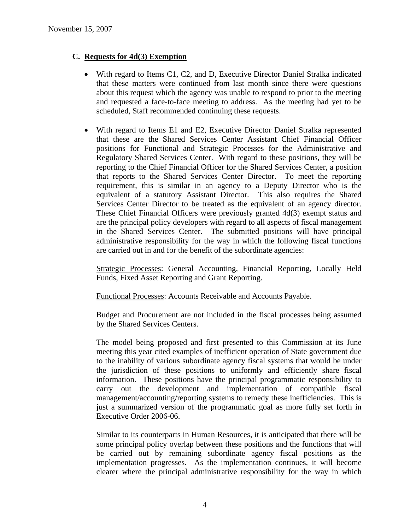# **C. Requests for 4d(3) Exemption**

- With regard to Items C1, C2, and D, Executive Director Daniel Stralka indicated that these matters were continued from last month since there were questions about this request which the agency was unable to respond to prior to the meeting and requested a face-to-face meeting to address. As the meeting had yet to be scheduled, Staff recommended continuing these requests.
- With regard to Items E1 and E2, Executive Director Daniel Stralka represented that these are the Shared Services Center Assistant Chief Financial Officer positions for Functional and Strategic Processes for the Administrative and Regulatory Shared Services Center. With regard to these positions, they will be reporting to the Chief Financial Officer for the Shared Services Center, a position that reports to the Shared Services Center Director. To meet the reporting requirement, this is similar in an agency to a Deputy Director who is the equivalent of a statutory Assistant Director. This also requires the Shared Services Center Director to be treated as the equivalent of an agency director. These Chief Financial Officers were previously granted 4d(3) exempt status and are the principal policy developers with regard to all aspects of fiscal management in the Shared Services Center. The submitted positions will have principal administrative responsibility for the way in which the following fiscal functions are carried out in and for the benefit of the subordinate agencies:

Strategic Processes: General Accounting, Financial Reporting, Locally Held Funds, Fixed Asset Reporting and Grant Reporting.

Functional Processes: Accounts Receivable and Accounts Payable.

Budget and Procurement are not included in the fiscal processes being assumed by the Shared Services Centers.

The model being proposed and first presented to this Commission at its June meeting this year cited examples of inefficient operation of State government due to the inability of various subordinate agency fiscal systems that would be under the jurisdiction of these positions to uniformly and efficiently share fiscal information. These positions have the principal programmatic responsibility to carry out the development and implementation of compatible fiscal management/accounting/reporting systems to remedy these inefficiencies. This is just a summarized version of the programmatic goal as more fully set forth in Executive Order 2006-06.

Similar to its counterparts in Human Resources, it is anticipated that there will be some principal policy overlap between these positions and the functions that will be carried out by remaining subordinate agency fiscal positions as the implementation progresses. As the implementation continues, it will become clearer where the principal administrative responsibility for the way in which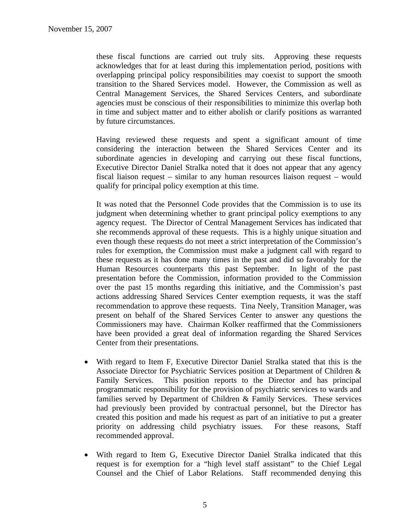these fiscal functions are carried out truly sits. Approving these requests acknowledges that for at least during this implementation period, positions with overlapping principal policy responsibilities may coexist to support the smooth transition to the Shared Services model. However, the Commission as well as Central Management Services, the Shared Services Centers, and subordinate agencies must be conscious of their responsibilities to minimize this overlap both in time and subject matter and to either abolish or clarify positions as warranted by future circumstances.

Having reviewed these requests and spent a significant amount of time considering the interaction between the Shared Services Center and its subordinate agencies in developing and carrying out these fiscal functions, Executive Director Daniel Stralka noted that it does not appear that any agency fiscal liaison request – similar to any human resources liaison request – would qualify for principal policy exemption at this time.

It was noted that the Personnel Code provides that the Commission is to use its judgment when determining whether to grant principal policy exemptions to any agency request. The Director of Central Management Services has indicated that she recommends approval of these requests. This is a highly unique situation and even though these requests do not meet a strict interpretation of the Commission's rules for exemption, the Commission must make a judgment call with regard to these requests as it has done many times in the past and did so favorably for the Human Resources counterparts this past September. In light of the past presentation before the Commission, information provided to the Commission over the past 15 months regarding this initiative, and the Commission's past actions addressing Shared Services Center exemption requests, it was the staff recommendation to approve these requests. Tina Neely, Transition Manager, was present on behalf of the Shared Services Center to answer any questions the Commissioners may have. Chairman Kolker reaffirmed that the Commissioners have been provided a great deal of information regarding the Shared Services Center from their presentations.

- With regard to Item F, Executive Director Daniel Stralka stated that this is the Associate Director for Psychiatric Services position at Department of Children & Family Services. This position reports to the Director and has principal programmatic responsibility for the provision of psychiatric services to wards and families served by Department of Children & Family Services. These services had previously been provided by contractual personnel, but the Director has created this position and made his request as part of an initiative to put a greater priority on addressing child psychiatry issues. For these reasons, Staff recommended approval.
- With regard to Item G, Executive Director Daniel Stralka indicated that this request is for exemption for a "high level staff assistant" to the Chief Legal Counsel and the Chief of Labor Relations. Staff recommended denying this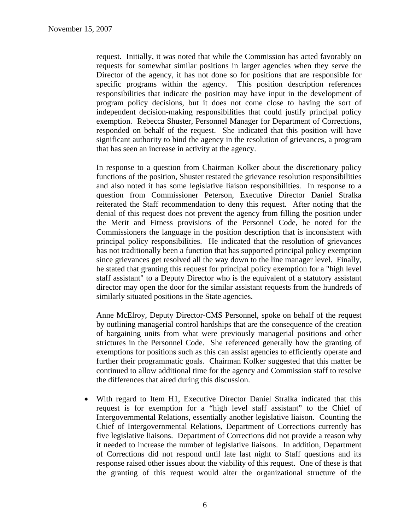request. Initially, it was noted that while the Commission has acted favorably on requests for somewhat similar positions in larger agencies when they serve the Director of the agency, it has not done so for positions that are responsible for specific programs within the agency. This position description references responsibilities that indicate the position may have input in the development of program policy decisions, but it does not come close to having the sort of independent decision-making responsibilities that could justify principal policy exemption. Rebecca Shuster, Personnel Manager for Department of Corrections, responded on behalf of the request. She indicated that this position will have significant authority to bind the agency in the resolution of grievances, a program that has seen an increase in activity at the agency.

In response to a question from Chairman Kolker about the discretionary policy functions of the position, Shuster restated the grievance resolution responsibilities and also noted it has some legislative liaison responsibilities. In response to a question from Commissioner Peterson, Executive Director Daniel Stralka reiterated the Staff recommendation to deny this request. After noting that the denial of this request does not prevent the agency from filling the position under the Merit and Fitness provisions of the Personnel Code, he noted for the Commissioners the language in the position description that is inconsistent with principal policy responsibilities. He indicated that the resolution of grievances has not traditionally been a function that has supported principal policy exemption since grievances get resolved all the way down to the line manager level. Finally, he stated that granting this request for principal policy exemption for a "high level staff assistant" to a Deputy Director who is the equivalent of a statutory assistant director may open the door for the similar assistant requests from the hundreds of similarly situated positions in the State agencies.

Anne McElroy, Deputy Director-CMS Personnel, spoke on behalf of the request by outlining managerial control hardships that are the consequence of the creation of bargaining units from what were previously managerial positions and other strictures in the Personnel Code. She referenced generally how the granting of exemptions for positions such as this can assist agencies to efficiently operate and further their programmatic goals. Chairman Kolker suggested that this matter be continued to allow additional time for the agency and Commission staff to resolve the differences that aired during this discussion.

• With regard to Item H1, Executive Director Daniel Stralka indicated that this request is for exemption for a "high level staff assistant" to the Chief of Intergovernmental Relations, essentially another legislative liaison. Counting the Chief of Intergovernmental Relations, Department of Corrections currently has five legislative liaisons. Department of Corrections did not provide a reason why it needed to increase the number of legislative liaisons. In addition, Department of Corrections did not respond until late last night to Staff questions and its response raised other issues about the viability of this request. One of these is that the granting of this request would alter the organizational structure of the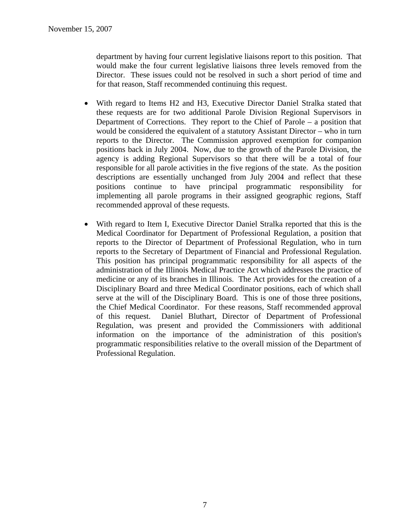department by having four current legislative liaisons report to this position. That would make the four current legislative liaisons three levels removed from the Director. These issues could not be resolved in such a short period of time and for that reason, Staff recommended continuing this request.

- With regard to Items H2 and H3, Executive Director Daniel Stralka stated that these requests are for two additional Parole Division Regional Supervisors in Department of Corrections. They report to the Chief of Parole – a position that would be considered the equivalent of a statutory Assistant Director – who in turn reports to the Director. The Commission approved exemption for companion positions back in July 2004. Now, due to the growth of the Parole Division, the agency is adding Regional Supervisors so that there will be a total of four responsible for all parole activities in the five regions of the state. As the position descriptions are essentially unchanged from July 2004 and reflect that these positions continue to have principal programmatic responsibility for implementing all parole programs in their assigned geographic regions, Staff recommended approval of these requests.
- With regard to Item I, Executive Director Daniel Stralka reported that this is the Medical Coordinator for Department of Professional Regulation, a position that reports to the Director of Department of Professional Regulation, who in turn reports to the Secretary of Department of Financial and Professional Regulation. This position has principal programmatic responsibility for all aspects of the administration of the Illinois Medical Practice Act which addresses the practice of medicine or any of its branches in Illinois. The Act provides for the creation of a Disciplinary Board and three Medical Coordinator positions, each of which shall serve at the will of the Disciplinary Board. This is one of those three positions, the Chief Medical Coordinator. For these reasons, Staff recommended approval of this request. Daniel Bluthart, Director of Department of Professional Regulation, was present and provided the Commissioners with additional information on the importance of the administration of this position's programmatic responsibilities relative to the overall mission of the Department of Professional Regulation.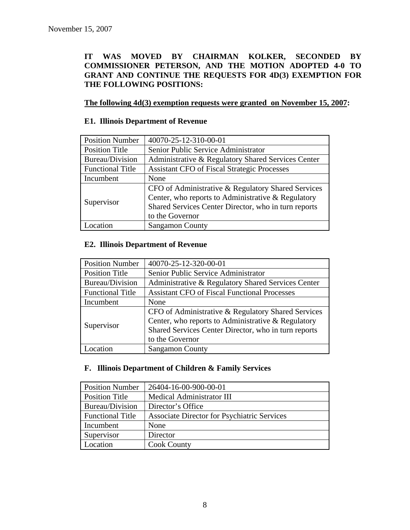# **IT WAS MOVED BY CHAIRMAN KOLKER, SECONDED BY COMMISSIONER PETERSON, AND THE MOTION ADOPTED 4-0 TO GRANT AND CONTINUE THE REQUESTS FOR 4D(3) EXEMPTION FOR THE FOLLOWING POSITIONS:**

# **The following 4d(3) exemption requests were granted on November 15, 2007:**

# **E1. Illinois Department of Revenue**

| <b>Position Number</b>  | 40070-25-12-310-00-01                                |
|-------------------------|------------------------------------------------------|
| <b>Position Title</b>   | Senior Public Service Administrator                  |
| Bureau/Division         | Administrative & Regulatory Shared Services Center   |
| <b>Functional Title</b> | <b>Assistant CFO of Fiscal Strategic Processes</b>   |
| Incumbent               | None                                                 |
| Supervisor              | CFO of Administrative & Regulatory Shared Services   |
|                         | Center, who reports to Administrative & Regulatory   |
|                         | Shared Services Center Director, who in turn reports |
|                         | to the Governor                                      |
| Location                | <b>Sangamon County</b>                               |

#### **E2. Illinois Department of Revenue**

| <b>Position Number</b>  | 40070-25-12-320-00-01                                |
|-------------------------|------------------------------------------------------|
| <b>Position Title</b>   | Senior Public Service Administrator                  |
| Bureau/Division         | Administrative & Regulatory Shared Services Center   |
| <b>Functional Title</b> | <b>Assistant CFO of Fiscal Functional Processes</b>  |
| Incumbent               | None                                                 |
| Supervisor              | CFO of Administrative & Regulatory Shared Services   |
|                         | Center, who reports to Administrative & Regulatory   |
|                         | Shared Services Center Director, who in turn reports |
|                         | to the Governor                                      |
| ocation                 | <b>Sangamon County</b>                               |

#### **F. Illinois Department of Children & Family Services**

| <b>Position Number</b>  | 26404-16-00-900-00-01                       |
|-------------------------|---------------------------------------------|
| <b>Position Title</b>   | <b>Medical Administrator III</b>            |
| Bureau/Division         | Director's Office                           |
| <b>Functional Title</b> | Associate Director for Psychiatric Services |
| Incumbent               | None                                        |
| Supervisor              | Director                                    |
| Location                | <b>Cook County</b>                          |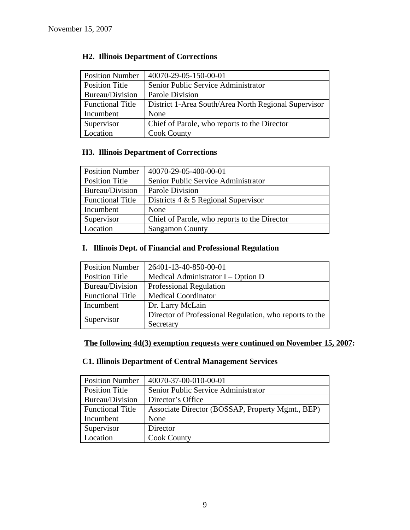| <b>Position Number</b>  | 40070-29-05-150-00-01                                |
|-------------------------|------------------------------------------------------|
| <b>Position Title</b>   | Senior Public Service Administrator                  |
| Bureau/Division         | Parole Division                                      |
| <b>Functional Title</b> | District 1-Area South/Area North Regional Supervisor |
| Incumbent               | None                                                 |
| Supervisor              | Chief of Parole, who reports to the Director         |
| Location                | <b>Cook County</b>                                   |

# **H2. Illinois Department of Corrections**

# **H3. Illinois Department of Corrections**

| <b>Position Number</b>  | 40070-29-05-400-00-01                        |
|-------------------------|----------------------------------------------|
| <b>Position Title</b>   | Senior Public Service Administrator          |
| Bureau/Division         | Parole Division                              |
| <b>Functional Title</b> | Districts $4 \& 5$ Regional Supervisor       |
| Incumbent               | None                                         |
| Supervisor              | Chief of Parole, who reports to the Director |
| Location                | <b>Sangamon County</b>                       |

# **I. Illinois Dept. of Financial and Professional Regulation**

| <b>Position Number</b>  | 26401-13-40-850-00-01                                   |
|-------------------------|---------------------------------------------------------|
| <b>Position Title</b>   | Medical Administrator $I - Option D$                    |
| Bureau/Division         | Professional Regulation                                 |
| <b>Functional Title</b> | <b>Medical Coordinator</b>                              |
| Incumbent               | Dr. Larry McLain                                        |
|                         | Director of Professional Regulation, who reports to the |
| Supervisor              | Secretary                                               |

# **The following 4d(3) exemption requests were continued on November 15, 2007:**

# **C1. Illinois Department of Central Management Services**

| <b>Position Number</b>  | 40070-37-00-010-00-01                            |
|-------------------------|--------------------------------------------------|
| <b>Position Title</b>   | Senior Public Service Administrator              |
| <b>Bureau/Division</b>  | Director's Office                                |
| <b>Functional Title</b> | Associate Director (BOSSAP, Property Mgmt., BEP) |
| Incumbent               | None                                             |
| Supervisor              | Director                                         |
| Location                | <b>Cook County</b>                               |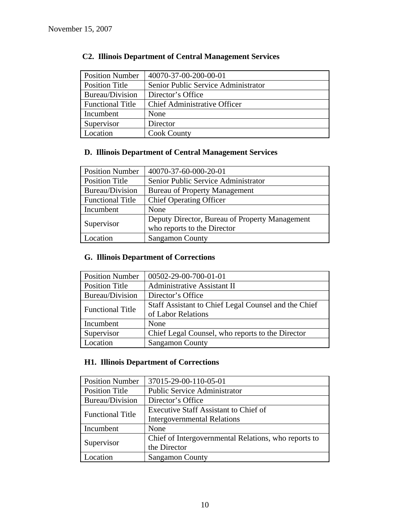| <b>Position Number</b>  | 40070-37-00-200-00-01               |
|-------------------------|-------------------------------------|
| <b>Position Title</b>   | Senior Public Service Administrator |
| Bureau/Division         | Director's Office                   |
| <b>Functional Title</b> | <b>Chief Administrative Officer</b> |
| Incumbent               | None                                |
| Supervisor              | Director                            |
| Location                | <b>Cook County</b>                  |

# **C2. Illinois Department of Central Management Services**

# **D. Illinois Department of Central Management Services**

| <b>Position Number</b>  | 40070-37-60-000-20-01                          |
|-------------------------|------------------------------------------------|
| <b>Position Title</b>   | Senior Public Service Administrator            |
| Bureau/Division         | <b>Bureau of Property Management</b>           |
| <b>Functional Title</b> | <b>Chief Operating Officer</b>                 |
| Incumbent               | None                                           |
| Supervisor              | Deputy Director, Bureau of Property Management |
|                         | who reports to the Director                    |
| Location                | <b>Sangamon County</b>                         |

# **G. Illinois Department of Corrections**

| <b>Position Number</b>  | 00502-29-00-700-01-01                                |
|-------------------------|------------------------------------------------------|
| <b>Position Title</b>   | Administrative Assistant II                          |
| Bureau/Division         | Director's Office                                    |
| <b>Functional Title</b> | Staff Assistant to Chief Legal Counsel and the Chief |
|                         | of Labor Relations                                   |
| Incumbent               | None                                                 |
| Supervisor              | Chief Legal Counsel, who reports to the Director     |
| Location                | <b>Sangamon County</b>                               |

# **H1. Illinois Department of Corrections**

| <b>Position Number</b>  | 37015-29-00-110-05-01                                |
|-------------------------|------------------------------------------------------|
| <b>Position Title</b>   | <b>Public Service Administrator</b>                  |
| Bureau/Division         | Director's Office                                    |
| <b>Functional Title</b> | Executive Staff Assistant to Chief of                |
|                         | <b>Intergovernmental Relations</b>                   |
| Incumbent               | None                                                 |
| Supervisor              | Chief of Intergovernmental Relations, who reports to |
|                         | the Director                                         |
| ocation                 | <b>Sangamon County</b>                               |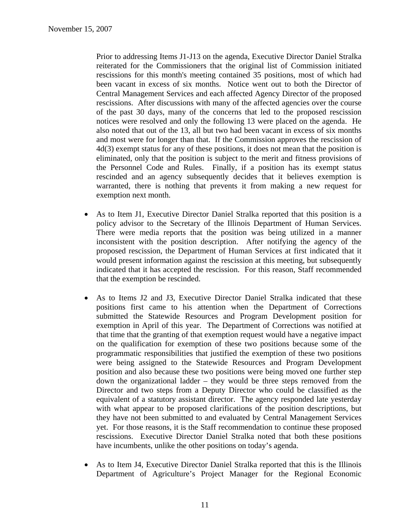Prior to addressing Items J1-J13 on the agenda, Executive Director Daniel Stralka reiterated for the Commissioners that the original list of Commission initiated rescissions for this month's meeting contained 35 positions, most of which had been vacant in excess of six months. Notice went out to both the Director of Central Management Services and each affected Agency Director of the proposed rescissions. After discussions with many of the affected agencies over the course of the past 30 days, many of the concerns that led to the proposed rescission notices were resolved and only the following 13 were placed on the agenda. He also noted that out of the 13, all but two had been vacant in excess of six months and most were for longer than that. If the Commission approves the rescission of 4d(3) exempt status for any of these positions, it does not mean that the position is eliminated, only that the position is subject to the merit and fitness provisions of the Personnel Code and Rules. Finally, if a position has its exempt status rescinded and an agency subsequently decides that it believes exemption is warranted, there is nothing that prevents it from making a new request for exemption next month.

- As to Item J1, Executive Director Daniel Stralka reported that this position is a policy advisor to the Secretary of the Illinois Department of Human Services. There were media reports that the position was being utilized in a manner inconsistent with the position description. After notifying the agency of the proposed rescission, the Department of Human Services at first indicated that it would present information against the rescission at this meeting, but subsequently indicated that it has accepted the rescission. For this reason, Staff recommended that the exemption be rescinded.
- As to Items J2 and J3, Executive Director Daniel Stralka indicated that these positions first came to his attention when the Department of Corrections submitted the Statewide Resources and Program Development position for exemption in April of this year. The Department of Corrections was notified at that time that the granting of that exemption request would have a negative impact on the qualification for exemption of these two positions because some of the programmatic responsibilities that justified the exemption of these two positions were being assigned to the Statewide Resources and Program Development position and also because these two positions were being moved one further step down the organizational ladder – they would be three steps removed from the Director and two steps from a Deputy Director who could be classified as the equivalent of a statutory assistant director. The agency responded late yesterday with what appear to be proposed clarifications of the position descriptions, but they have not been submitted to and evaluated by Central Management Services yet. For those reasons, it is the Staff recommendation to continue these proposed rescissions. Executive Director Daniel Stralka noted that both these positions have incumbents, unlike the other positions on today's agenda.
- As to Item J4, Executive Director Daniel Stralka reported that this is the Illinois Department of Agriculture's Project Manager for the Regional Economic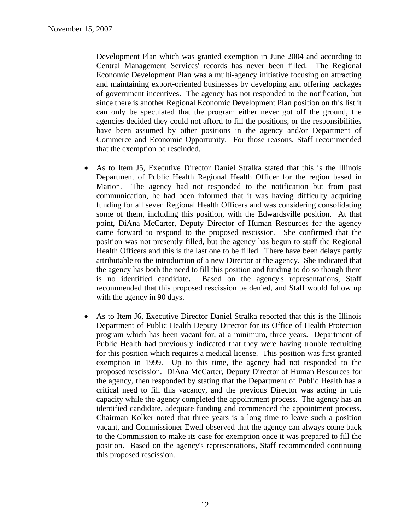Development Plan which was granted exemption in June 2004 and according to Central Management Services' records has never been filled. The Regional Economic Development Plan was a multi-agency initiative focusing on attracting and maintaining export-oriented businesses by developing and offering packages of government incentives. The agency has not responded to the notification, but since there is another Regional Economic Development Plan position on this list it can only be speculated that the program either never got off the ground, the agencies decided they could not afford to fill the positions, or the responsibilities have been assumed by other positions in the agency and/or Department of Commerce and Economic Opportunity. For those reasons, Staff recommended that the exemption be rescinded.

- As to Item J5, Executive Director Daniel Stralka stated that this is the Illinois Department of Public Health Regional Health Officer for the region based in Marion. The agency had not responded to the notification but from past communication, he had been informed that it was having difficulty acquiring funding for all seven Regional Health Officers and was considering consolidating some of them, including this position, with the Edwardsville position. At that point, DiAna McCarter, Deputy Director of Human Resources for the agency came forward to respond to the proposed rescission. She confirmed that the position was not presently filled, but the agency has begun to staff the Regional Health Officers and this is the last one to be filled. There have been delays partly attributable to the introduction of a new Director at the agency. She indicated that the agency has both the need to fill this position and funding to do so though there is no identified candidate**.** Based on the agency's representations, Staff recommended that this proposed rescission be denied, and Staff would follow up with the agency in 90 days.
- As to Item J6, Executive Director Daniel Stralka reported that this is the Illinois Department of Public Health Deputy Director for its Office of Health Protection program which has been vacant for, at a minimum, three years. Department of Public Health had previously indicated that they were having trouble recruiting for this position which requires a medical license. This position was first granted exemption in 1999. Up to this time, the agency had not responded to the proposed rescission. DiAna McCarter, Deputy Director of Human Resources for the agency, then responded by stating that the Department of Public Health has a critical need to fill this vacancy, and the previous Director was acting in this capacity while the agency completed the appointment process. The agency has an identified candidate, adequate funding and commenced the appointment process. Chairman Kolker noted that three years is a long time to leave such a position vacant, and Commissioner Ewell observed that the agency can always come back to the Commission to make its case for exemption once it was prepared to fill the position. Based on the agency's representations, Staff recommended continuing this proposed rescission.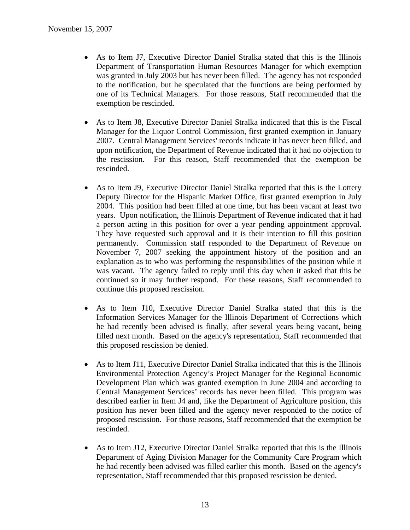- As to Item J7, Executive Director Daniel Stralka stated that this is the Illinois Department of Transportation Human Resources Manager for which exemption was granted in July 2003 but has never been filled. The agency has not responded to the notification, but he speculated that the functions are being performed by one of its Technical Managers. For those reasons, Staff recommended that the exemption be rescinded.
- As to Item J8, Executive Director Daniel Stralka indicated that this is the Fiscal Manager for the Liquor Control Commission, first granted exemption in January 2007. Central Management Services' records indicate it has never been filled, and upon notification, the Department of Revenue indicated that it had no objection to the rescission. For this reason, Staff recommended that the exemption be rescinded.
- As to Item J9, Executive Director Daniel Stralka reported that this is the Lottery Deputy Director for the Hispanic Market Office, first granted exemption in July 2004. This position had been filled at one time, but has been vacant at least two years. Upon notification, the Illinois Department of Revenue indicated that it had a person acting in this position for over a year pending appointment approval. They have requested such approval and it is their intention to fill this position permanently. Commission staff responded to the Department of Revenue on November 7, 2007 seeking the appointment history of the position and an explanation as to who was performing the responsibilities of the position while it was vacant. The agency failed to reply until this day when it asked that this be continued so it may further respond. For these reasons, Staff recommended to continue this proposed rescission.
- As to Item J10, Executive Director Daniel Stralka stated that this is the Information Services Manager for the Illinois Department of Corrections which he had recently been advised is finally, after several years being vacant, being filled next month. Based on the agency's representation, Staff recommended that this proposed rescission be denied.
- As to Item J11, Executive Director Daniel Stralka indicated that this is the Illinois Environmental Protection Agency's Project Manager for the Regional Economic Development Plan which was granted exemption in June 2004 and according to Central Management Services' records has never been filled. This program was described earlier in Item J4 and, like the Department of Agriculture position, this position has never been filled and the agency never responded to the notice of proposed rescission. For those reasons, Staff recommended that the exemption be rescinded.
- As to Item J12, Executive Director Daniel Stralka reported that this is the Illinois Department of Aging Division Manager for the Community Care Program which he had recently been advised was filled earlier this month. Based on the agency's representation, Staff recommended that this proposed rescission be denied.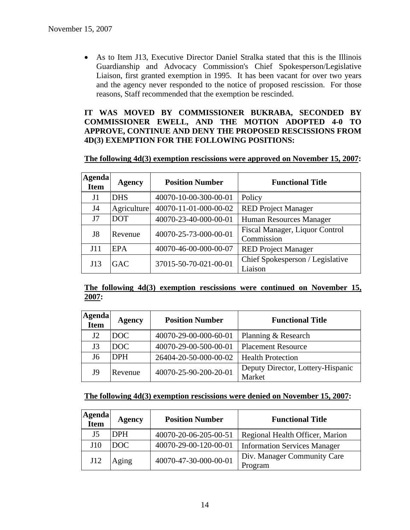• As to Item J13, Executive Director Daniel Stralka stated that this is the Illinois Guardianship and Advocacy Commission's Chief Spokesperson/Legislative Liaison, first granted exemption in 1995. It has been vacant for over two years and the agency never responded to the notice of proposed rescission. For those reasons, Staff recommended that the exemption be rescinded.

### **IT WAS MOVED BY COMMISSIONER BUKRABA, SECONDED BY COMMISSIONER EWELL, AND THE MOTION ADOPTED 4-0 TO APPROVE, CONTINUE AND DENY THE PROPOSED RESCISSIONS FROM 4D(3) EXEMPTION FOR THE FOLLOWING POSITIONS:**

#### **The following 4d(3) exemption rescissions were approved on November 15, 2007:**

| <b>Agenda</b><br><b>Item</b> | Agency      | <b>Position Number</b> | <b>Functional Title</b>                      |
|------------------------------|-------------|------------------------|----------------------------------------------|
| J1                           | <b>DHS</b>  | 40070-10-00-300-00-01  | Policy                                       |
| J4                           | Agriculture | 40070-11-01-000-00-02  | <b>RED Project Manager</b>                   |
| J7                           | <b>DOT</b>  | 40070-23-40-000-00-01  | Human Resources Manager                      |
| J8                           | Revenue     | 40070-25-73-000-00-01  | Fiscal Manager, Liquor Control<br>Commission |
| J11                          | <b>EPA</b>  | 40070-46-00-000-00-07  | <b>RED Project Manager</b>                   |
| J13                          | <b>GAC</b>  | 37015-50-70-021-00-01  | Chief Spokesperson / Legislative<br>Liaison  |

### **The following 4d(3) exemption rescissions were continued on November 15, 2007:**

| Agenda<br><b>Item</b> | Agency     | <b>Position Number</b> | <b>Functional Title</b>                     |
|-----------------------|------------|------------------------|---------------------------------------------|
| J2                    | DOC        | 40070-29-00-000-60-01  | Planning & Research                         |
| J3                    | DOC        | 40070-29-00-500-00-01  | <b>Placement Resource</b>                   |
| J6                    | <b>DPH</b> | 26404-20-50-000-00-02  | <b>Health Protection</b>                    |
| J9                    | Revenue    | 40070-25-90-200-20-01  | Deputy Director, Lottery-Hispanic<br>Market |

#### **The following 4d(3) exemption rescissions were denied on November 15, 2007:**

| <b>Agenda</b><br>Item | Agency     | <b>Position Number</b> | <b>Functional Title</b>                |
|-----------------------|------------|------------------------|----------------------------------------|
| J <sub>5</sub>        | <b>DPH</b> | 40070-20-06-205-00-51  | Regional Health Officer, Marion        |
| J10                   | DOC.       | 40070-29-00-120-00-01  | <b>Information Services Manager</b>    |
| J12                   | Aging      | 40070-47-30-000-00-01  | Div. Manager Community Care<br>Program |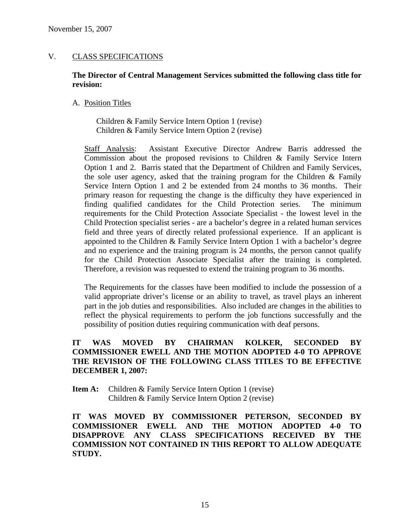# V. CLASS SPECIFICATIONS

### **The Director of Central Management Services submitted the following class title for revision:**

#### A. Position Titles

Children & Family Service Intern Option 1 (revise) Children & Family Service Intern Option 2 (revise)

Staff Analysis: Assistant Executive Director Andrew Barris addressed the Commission about the proposed revisions to Children & Family Service Intern Option 1 and 2. Barris stated that the Department of Children and Family Services, the sole user agency, asked that the training program for the Children & Family Service Intern Option 1 and 2 be extended from 24 months to 36 months. Their primary reason for requesting the change is the difficulty they have experienced in finding qualified candidates for the Child Protection series. The minimum requirements for the Child Protection Associate Specialist - the lowest level in the Child Protection specialist series - are a bachelor's degree in a related human services field and three years of directly related professional experience. If an applicant is appointed to the Children & Family Service Intern Option 1 with a bachelor's degree and no experience and the training program is 24 months, the person cannot qualify for the Child Protection Associate Specialist after the training is completed. Therefore, a revision was requested to extend the training program to 36 months.

The Requirements for the classes have been modified to include the possession of a valid appropriate driver's license or an ability to travel, as travel plays an inherent part in the job duties and responsibilities. Also included are changes in the abilities to reflect the physical requirements to perform the job functions successfully and the possibility of position duties requiring communication with deaf persons.

# **IT WAS MOVED BY CHAIRMAN KOLKER, SECONDED BY COMMISSIONER EWELL AND THE MOTION ADOPTED 4-0 TO APPROVE THE REVISION OF THE FOLLOWING CLASS TITLES TO BE EFFECTIVE DECEMBER 1, 2007:**

**Item A:** Children & Family Service Intern Option 1 (revise) Children & Family Service Intern Option 2 (revise)

**IT WAS MOVED BY COMMISSIONER PETERSON, SECONDED BY COMMISSIONER EWELL AND THE MOTION ADOPTED 4-0 TO DISAPPROVE ANY CLASS SPECIFICATIONS RECEIVED BY THE COMMISSION NOT CONTAINED IN THIS REPORT TO ALLOW ADEQUATE STUDY.**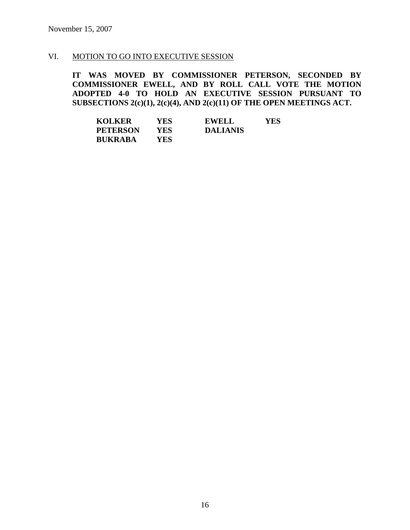### VI. MOTION TO GO INTO EXECUTIVE SESSION

**IT WAS MOVED BY COMMISSIONER PETERSON, SECONDED BY COMMISSIONER EWELL, AND BY ROLL CALL VOTE THE MOTION ADOPTED 4-0 TO HOLD AN EXECUTIVE SESSION PURSUANT TO SUBSECTIONS 2(c)(1), 2(c)(4), AND 2(c)(11) OF THE OPEN MEETINGS ACT.** 

| <b>KOLKER</b>   | YES | <b>EWELL</b>    | YES |
|-----------------|-----|-----------------|-----|
| <b>PETERSON</b> | YES | <b>DALIANIS</b> |     |
| <b>BUKRABA</b>  | YES |                 |     |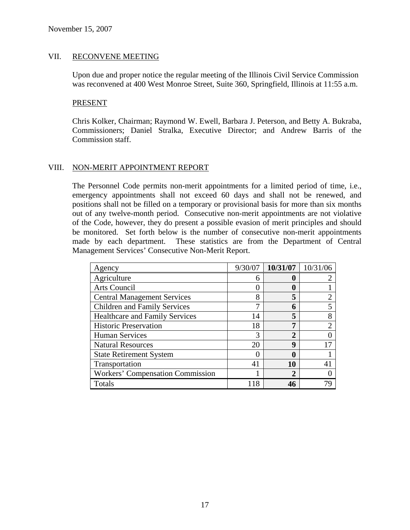#### VII. RECONVENE MEETING

Upon due and proper notice the regular meeting of the Illinois Civil Service Commission was reconvened at 400 West Monroe Street, Suite 360, Springfield, Illinois at 11:55 a.m.

#### PRESENT

Chris Kolker, Chairman; Raymond W. Ewell, Barbara J. Peterson, and Betty A. Bukraba, Commissioners; Daniel Stralka, Executive Director; and Andrew Barris of the Commission staff.

### VIII. NON-MERIT APPOINTMENT REPORT

The Personnel Code permits non-merit appointments for a limited period of time, i.e., emergency appointments shall not exceed 60 days and shall not be renewed, and positions shall not be filled on a temporary or provisional basis for more than six months out of any twelve-month period. Consecutive non-merit appointments are not violative of the Code, however, they do present a possible evasion of merit principles and should be monitored. Set forth below is the number of consecutive non-merit appointments made by each department. These statistics are from the Department of Central Management Services' Consecutive Non-Merit Report.

| Agency                                  | 9/30/07 | 10/31/07       | 10/31/06 |
|-----------------------------------------|---------|----------------|----------|
| Agriculture                             | 6       | 0              |          |
| Arts Council                            |         | 0              |          |
| <b>Central Management Services</b>      | 8       | 5              |          |
| <b>Children and Family Services</b>     |         | 6              |          |
| <b>Healthcare and Family Services</b>   | 14      | 5              | 8        |
| <b>Historic Preservation</b>            | 18      | 7              |          |
| <b>Human Services</b>                   |         | 2              |          |
| <b>Natural Resources</b>                | 20      | 9              |          |
| <b>State Retirement System</b>          |         | 0              |          |
| Transportation                          | 41      | 10             |          |
| <b>Workers' Compensation Commission</b> |         | $\overline{2}$ |          |
| Totals                                  |         | 46             |          |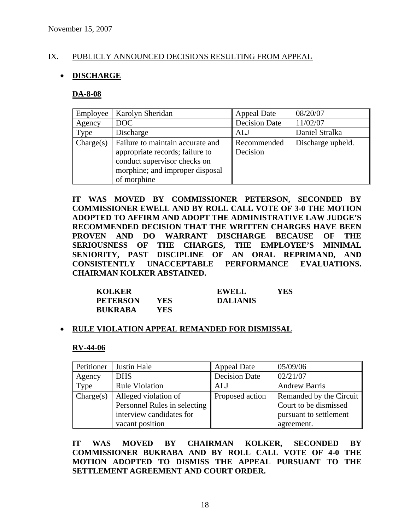# IX. PUBLICLY ANNOUNCED DECISIONS RESULTING FROM APPEAL

# • **DISCHARGE**

#### **DA-8-08**

| Employee  | Karolyn Sheridan                                                                                                                                      | <b>Appeal Date</b>      | 08/20/07          |
|-----------|-------------------------------------------------------------------------------------------------------------------------------------------------------|-------------------------|-------------------|
| Agency    | DOC                                                                                                                                                   | <b>Decision Date</b>    | 11/02/07          |
| Type      | Discharge                                                                                                                                             | <b>ALJ</b>              | Daniel Stralka    |
| Change(s) | Failure to maintain accurate and<br>appropriate records; failure to<br>conduct supervisor checks on<br>morphine; and improper disposal<br>of morphine | Recommended<br>Decision | Discharge upheld. |

**IT WAS MOVED BY COMMISSIONER PETERSON, SECONDED BY COMMISSIONER EWELL AND BY ROLL CALL VOTE OF 3-0 THE MOTION ADOPTED TO AFFIRM AND ADOPT THE ADMINISTRATIVE LAW JUDGE'S RECOMMENDED DECISION THAT THE WRITTEN CHARGES HAVE BEEN PROVEN AND DO WARRANT DISCHARGE BECAUSE OF THE SERIOUSNESS OF THE CHARGES, THE EMPLOYEE'S MINIMAL SENIORITY, PAST DISCIPLINE OF AN ORAL REPRIMAND, AND CONSISTENTLY UNACCEPTABLE PERFORMANCE EVALUATIONS. CHAIRMAN KOLKER ABSTAINED.** 

| <b>KOLKER</b>   |      | EWELL           | YES |
|-----------------|------|-----------------|-----|
| <b>PETERSON</b> | YES  | <b>DALIANIS</b> |     |
| <b>BUKRABA</b>  | YES. |                 |     |

#### • **RULE VIOLATION APPEAL REMANDED FOR DISMISSAL**

#### **RV-44-06**

| Petitioner | Justin Hale                  | <b>Appeal Date</b>   | 05/09/06                |
|------------|------------------------------|----------------------|-------------------------|
| Agency     | <b>DHS</b>                   | <b>Decision Date</b> | 02/21/07                |
| Type       | <b>Rule Violation</b>        | ALJ                  | <b>Andrew Barris</b>    |
| Change(s)  | Alleged violation of         | Proposed action      | Remanded by the Circuit |
|            | Personnel Rules in selecting |                      | Court to be dismissed   |
|            | interview candidates for     |                      | pursuant to settlement  |
|            | vacant position              |                      | agreement.              |

**IT WAS MOVED BY CHAIRMAN KOLKER, SECONDED BY COMMISSIONER BUKRABA AND BY ROLL CALL VOTE OF 4-0 THE MOTION ADOPTED TO DISMISS THE APPEAL PURSUANT TO THE SETTLEMENT AGREEMENT AND COURT ORDER.**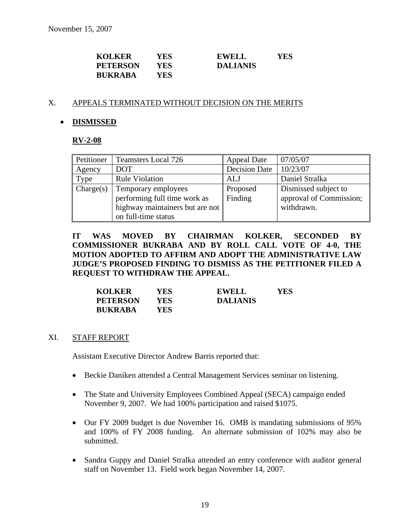| <b>KOLKER</b>   | YES. | EWELL           | YES |
|-----------------|------|-----------------|-----|
| <b>PETERSON</b> | YES  | <b>DALIANIS</b> |     |
| <b>BUKRABA</b>  | YES. |                 |     |

#### X. APPEALS TERMINATED WITHOUT DECISION ON THE MERITS

#### • **DISMISSED**

#### **RV-2-08**

| Petitioner | <b>Teamsters Local 726</b>                                                                                    | <b>Appeal Date</b>   | 07/05/07                                                      |
|------------|---------------------------------------------------------------------------------------------------------------|----------------------|---------------------------------------------------------------|
| Agency     | <b>DOT</b>                                                                                                    | <b>Decision Date</b> | 10/23/07                                                      |
| Type       | <b>Rule Violation</b>                                                                                         | ALJ                  | Daniel Stralka                                                |
| Change(s)  | Temporary employees<br>performing full time work as<br>highway maintainers but are not<br>on full-time status | Proposed<br>Finding  | Dismissed subject to<br>approval of Commission;<br>withdrawn. |

**IT WAS MOVED BY CHAIRMAN KOLKER, SECONDED BY COMMISSIONER BUKRABA AND BY ROLL CALL VOTE OF 4-0, THE MOTION ADOPTED TO AFFIRM AND ADOPT THE ADMINISTRATIVE LAW JUDGE'S PROPOSED FINDING TO DISMISS AS THE PETITIONER FILED A REQUEST TO WITHDRAW THE APPEAL.** 

| <b>KOLKER</b>   | YES  | <b>EWELL</b>    | YES |
|-----------------|------|-----------------|-----|
| <b>PETERSON</b> | YES  | <b>DALIANIS</b> |     |
| <b>BUKRABA</b>  | YES. |                 |     |

#### XI. STAFF REPORT

Assistant Executive Director Andrew Barris reported that:

- Beckie Daniken attended a Central Management Services seminar on listening.
- The State and University Employees Combined Appeal (SECA) campaign ended November 9, 2007. We had 100% participation and raised \$1075.
- Our FY 2009 budget is due November 16. OMB is mandating submissions of 95% and 100% of FY 2008 funding. An alternate submission of 102% may also be submitted.
- Sandra Guppy and Daniel Stralka attended an entry conference with auditor general staff on November 13. Field work began November 14, 2007.